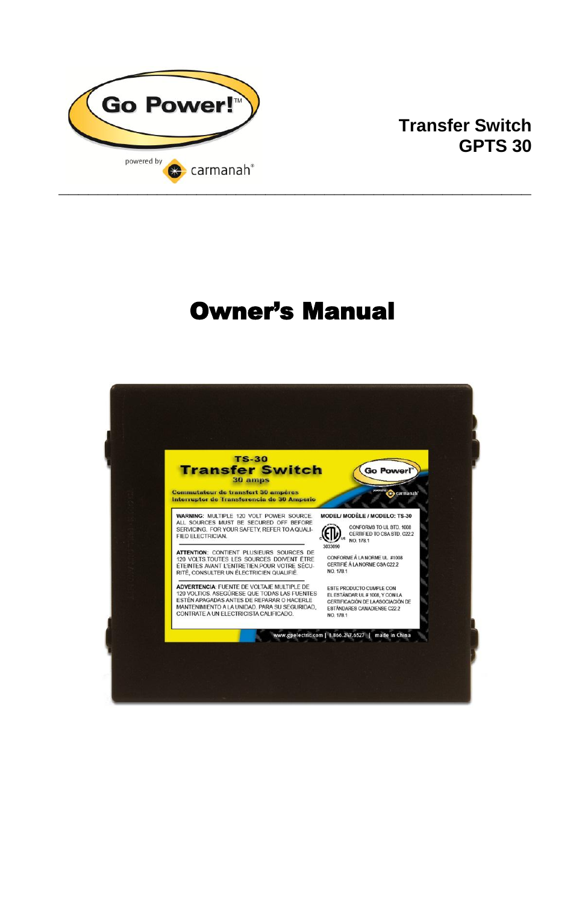

### **Transfer Switch GPTS 30**

# Owner's Manual

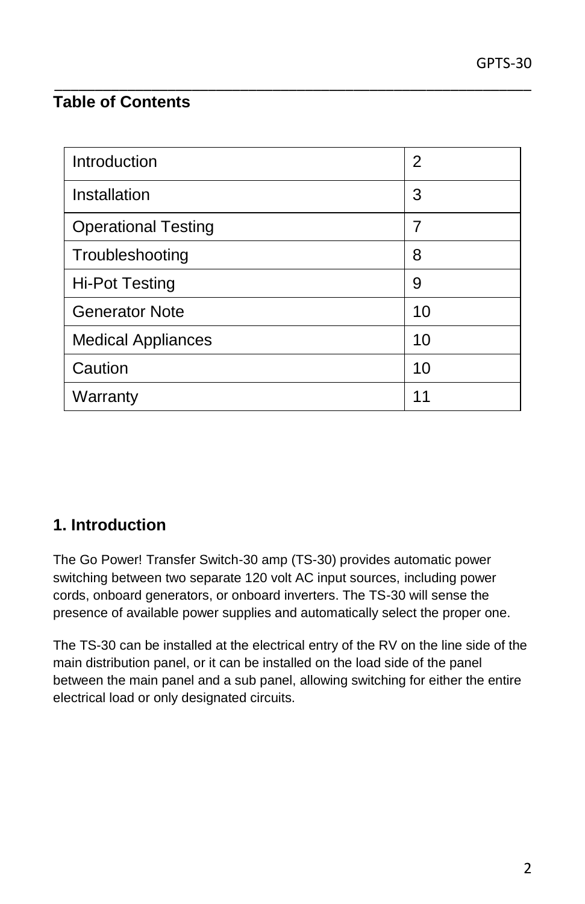# **Table of Contents**

| Introduction               | 2  |
|----------------------------|----|
| Installation               | 3  |
| <b>Operational Testing</b> | 7  |
| Troubleshooting            | 8  |
| <b>Hi-Pot Testing</b>      | 9  |
| <b>Generator Note</b>      | 10 |
| <b>Medical Appliances</b>  | 10 |
| Caution                    | 10 |
| Warranty                   | 11 |

\_\_\_\_\_\_\_\_\_\_\_\_\_\_\_\_\_\_\_\_\_\_\_\_\_\_\_\_\_\_\_\_\_\_\_\_\_\_\_\_\_\_\_\_\_\_\_\_\_\_\_\_\_\_\_\_\_\_\_

### **1. Introduction**

The Go Power! Transfer Switch-30 amp (TS-30) provides automatic power switching between two separate 120 volt AC input sources, including power cords, onboard generators, or onboard inverters. The TS-30 will sense the presence of available power supplies and automatically select the proper one.

The TS-30 can be installed at the electrical entry of the RV on the line side of the main distribution panel, or it can be installed on the load side of the panel between the main panel and a sub panel, allowing switching for either the entire electrical load or only designated circuits.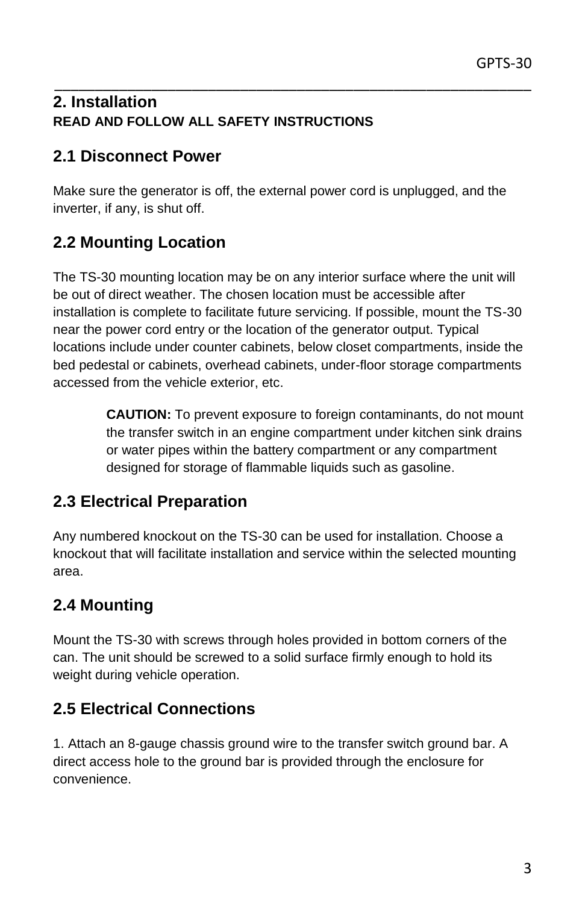#### \_\_\_\_\_\_\_\_\_\_\_\_\_\_\_\_\_\_\_\_\_\_\_\_\_\_\_\_\_\_\_\_\_\_\_\_\_\_\_\_\_\_\_\_\_\_\_\_\_\_\_\_\_\_\_\_\_\_\_ **2. Installation READ AND FOLLOW ALL SAFETY INSTRUCTIONS**

### **2.1 Disconnect Power**

Make sure the generator is off, the external power cord is unplugged, and the inverter, if any, is shut off.

# **2.2 Mounting Location**

The TS-30 mounting location may be on any interior surface where the unit will be out of direct weather. The chosen location must be accessible after installation is complete to facilitate future servicing. If possible, mount the TS-30 near the power cord entry or the location of the generator output. Typical locations include under counter cabinets, below closet compartments, inside the bed pedestal or cabinets, overhead cabinets, under-floor storage compartments accessed from the vehicle exterior, etc.

> **CAUTION:** To prevent exposure to foreign contaminants, do not mount the transfer switch in an engine compartment under kitchen sink drains or water pipes within the battery compartment or any compartment designed for storage of flammable liquids such as gasoline.

### **2.3 Electrical Preparation**

Any numbered knockout on the TS-30 can be used for installation. Choose a knockout that will facilitate installation and service within the selected mounting area.

### **2.4 Mounting**

Mount the TS-30 with screws through holes provided in bottom corners of the can. The unit should be screwed to a solid surface firmly enough to hold its weight during vehicle operation.

### **2.5 Electrical Connections**

1. Attach an 8-gauge chassis ground wire to the transfer switch ground bar. A direct access hole to the ground bar is provided through the enclosure for convenience.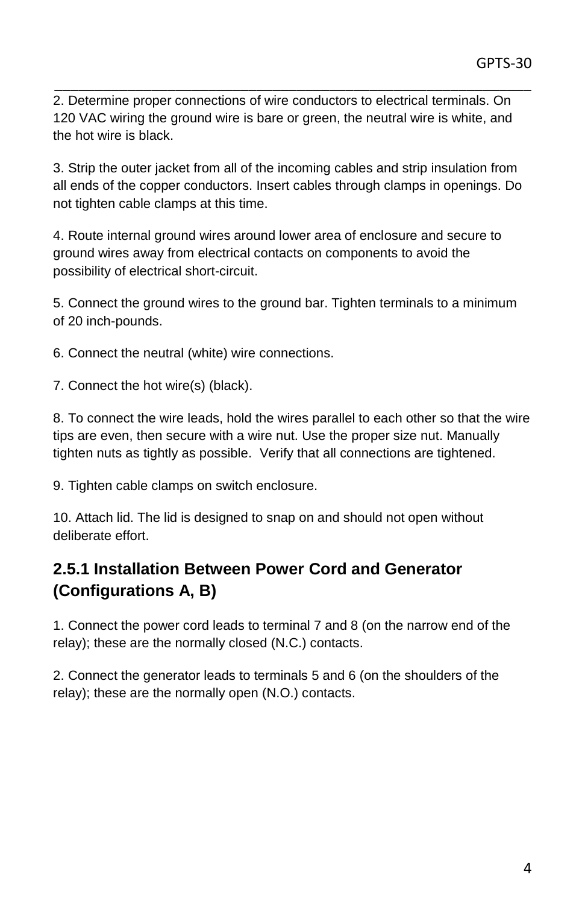\_\_\_\_\_\_\_\_\_\_\_\_\_\_\_\_\_\_\_\_\_\_\_\_\_\_\_\_\_\_\_\_\_\_\_\_\_\_\_\_\_\_\_\_\_\_\_\_\_\_\_\_\_\_\_\_\_\_\_ 2. Determine proper connections of wire conductors to electrical terminals. On 120 VAC wiring the ground wire is bare or green, the neutral wire is white, and the hot wire is black.

3. Strip the outer jacket from all of the incoming cables and strip insulation from all ends of the copper conductors. Insert cables through clamps in openings. Do not tighten cable clamps at this time.

4. Route internal ground wires around lower area of enclosure and secure to ground wires away from electrical contacts on components to avoid the possibility of electrical short-circuit.

5. Connect the ground wires to the ground bar. Tighten terminals to a minimum of 20 inch-pounds.

6. Connect the neutral (white) wire connections.

7. Connect the hot wire(s) (black).

8. To connect the wire leads, hold the wires parallel to each other so that the wire tips are even, then secure with a wire nut. Use the proper size nut. Manually tighten nuts as tightly as possible. Verify that all connections are tightened.

9. Tighten cable clamps on switch enclosure.

10. Attach lid. The lid is designed to snap on and should not open without deliberate effort.

### **2.5.1 Installation Between Power Cord and Generator (Configurations A, B)**

1. Connect the power cord leads to terminal 7 and 8 (on the narrow end of the relay); these are the normally closed (N.C.) contacts.

2. Connect the generator leads to terminals 5 and 6 (on the shoulders of the relay); these are the normally open (N.O.) contacts.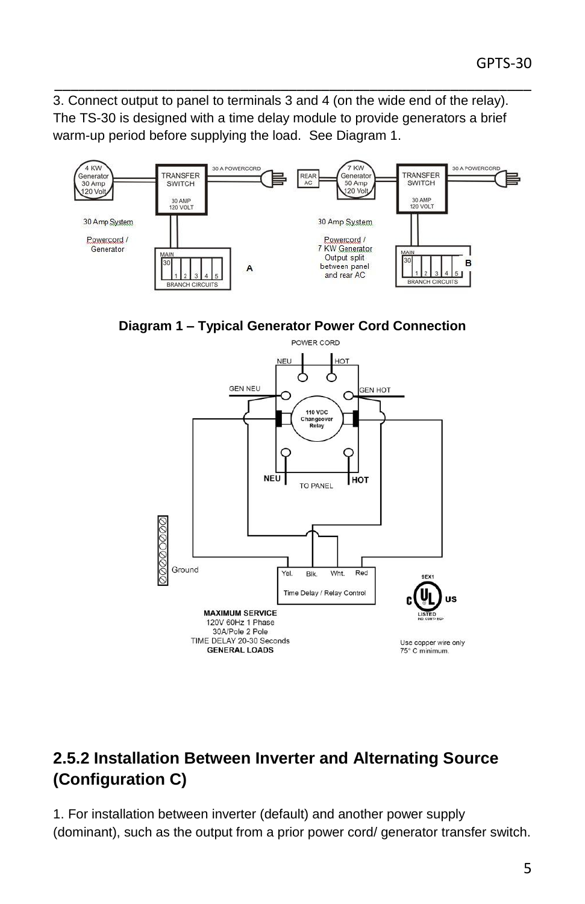3. Connect output to panel to terminals 3 and 4 (on the wide end of the relay). The TS-30 is designed with a time delay module to provide generators a brief warm-up period before supplying the load. See Diagram 1.

\_\_\_\_\_\_\_\_\_\_\_\_\_\_\_\_\_\_\_\_\_\_\_\_\_\_\_\_\_\_\_\_\_\_\_\_\_\_\_\_\_\_\_\_\_\_\_\_\_\_\_\_\_\_\_\_\_\_\_



**Diagram 1 – Typical Generator Power Cord Connection**



# **2.5.2 Installation Between Inverter and Alternating Source (Configuration C)**

1. For installation between inverter (default) and another power supply (dominant), such as the output from a prior power cord/ generator transfer switch.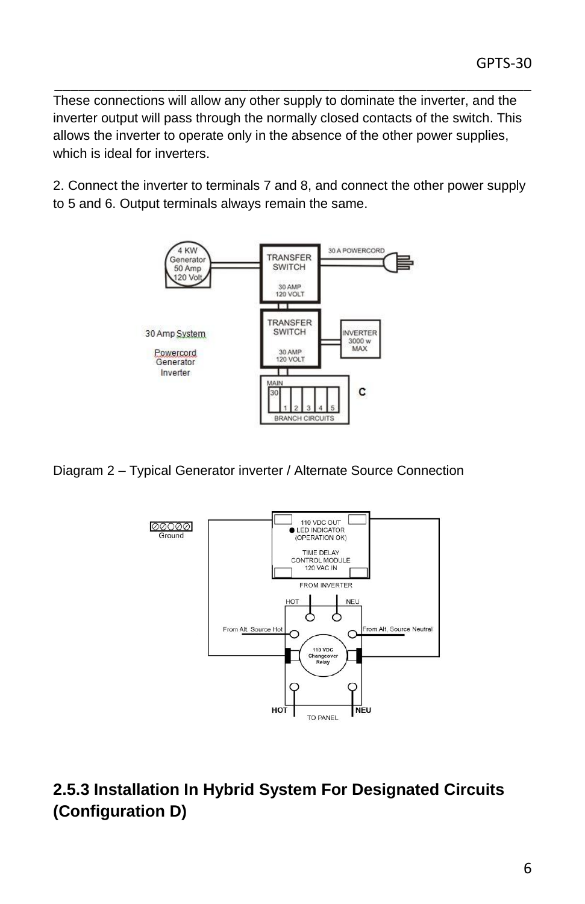These connections will allow any other supply to dominate the inverter, and the inverter output will pass through the normally closed contacts of the switch. This allows the inverter to operate only in the absence of the other power supplies, which is ideal for inverters.

\_\_\_\_\_\_\_\_\_\_\_\_\_\_\_\_\_\_\_\_\_\_\_\_\_\_\_\_\_\_\_\_\_\_\_\_\_\_\_\_\_\_\_\_\_\_\_\_\_\_\_\_\_\_\_\_\_\_\_

2. Connect the inverter to terminals 7 and 8, and connect the other power supply to 5 and 6. Output terminals always remain the same.



Diagram 2 – Typical Generator inverter / Alternate Source Connection



# **2.5.3 Installation In Hybrid System For Designated Circuits (Configuration D)**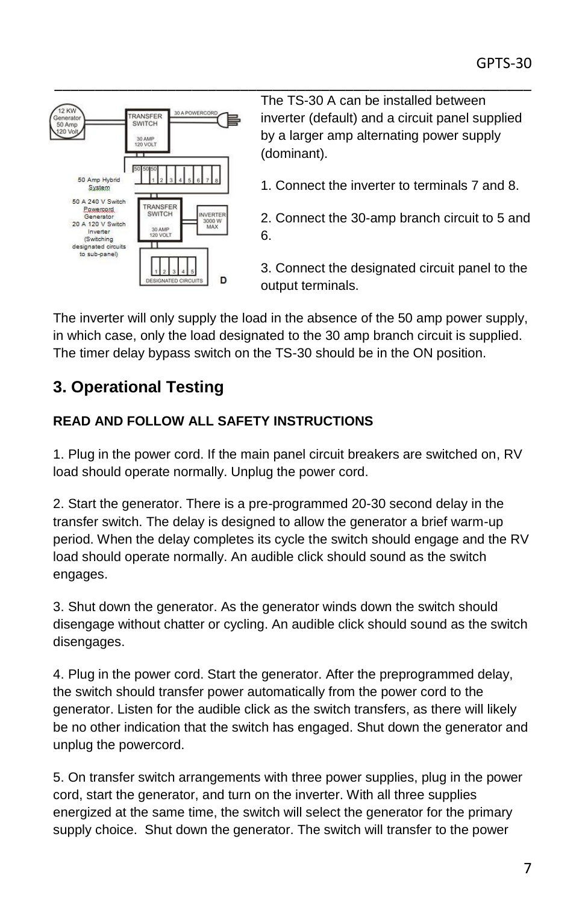

The TS-30 A can be installed between inverter (default) and a circuit panel supplied by a larger amp alternating power supply (dominant).

- 1. Connect the inverter to terminals 7 and 8.
- 2. Connect the 30-amp branch circuit to 5 and 6.

3. Connect the designated circuit panel to the output terminals.

The inverter will only supply the load in the absence of the 50 amp power supply, in which case, only the load designated to the 30 amp branch circuit is supplied. The timer delay bypass switch on the TS-30 should be in the ON position.

# **3. Operational Testing**

#### **READ AND FOLLOW ALL SAFETY INSTRUCTIONS**

1. Plug in the power cord. If the main panel circuit breakers are switched on, RV load should operate normally. Unplug the power cord.

2. Start the generator. There is a pre-programmed 20-30 second delay in the transfer switch. The delay is designed to allow the generator a brief warm-up period. When the delay completes its cycle the switch should engage and the RV load should operate normally. An audible click should sound as the switch engages.

3. Shut down the generator. As the generator winds down the switch should disengage without chatter or cycling. An audible click should sound as the switch disengages.

4. Plug in the power cord. Start the generator. After the preprogrammed delay, the switch should transfer power automatically from the power cord to the generator. Listen for the audible click as the switch transfers, as there will likely be no other indication that the switch has engaged. Shut down the generator and unplug the powercord.

5. On transfer switch arrangements with three power supplies, plug in the power cord, start the generator, and turn on the inverter. With all three supplies energized at the same time, the switch will select the generator for the primary supply choice. Shut down the generator. The switch will transfer to the power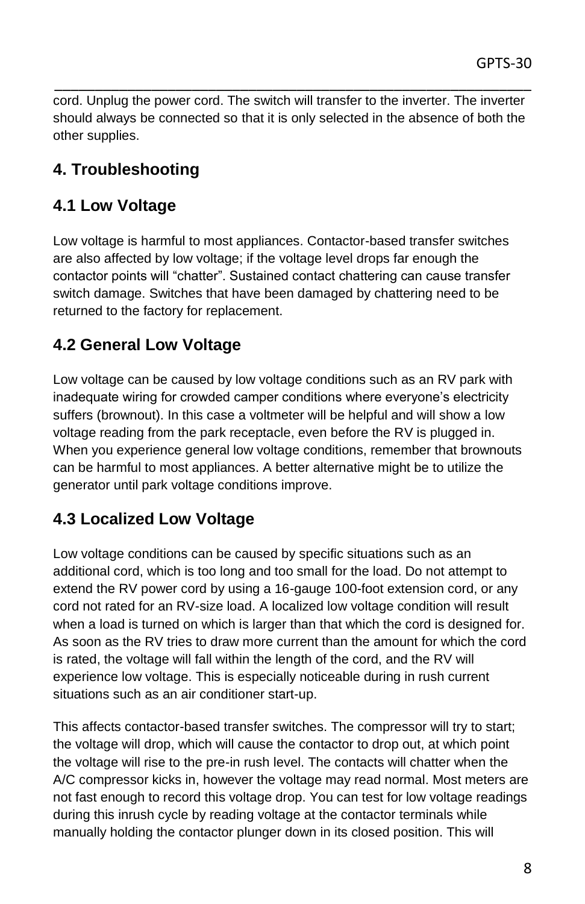cord. Unplug the power cord. The switch will transfer to the inverter. The inverter should always be connected so that it is only selected in the absence of both the other supplies.

\_\_\_\_\_\_\_\_\_\_\_\_\_\_\_\_\_\_\_\_\_\_\_\_\_\_\_\_\_\_\_\_\_\_\_\_\_\_\_\_\_\_\_\_\_\_\_\_\_\_\_\_\_\_\_\_\_\_\_

# **4. Troubleshooting**

# **4.1 Low Voltage**

Low voltage is harmful to most appliances. Contactor-based transfer switches are also affected by low voltage; if the voltage level drops far enough the contactor points will "chatter". Sustained contact chattering can cause transfer switch damage. Switches that have been damaged by chattering need to be returned to the factory for replacement.

# **4.2 General Low Voltage**

Low voltage can be caused by low voltage conditions such as an RV park with inadequate wiring for crowded camper conditions where everyone's electricity suffers (brownout). In this case a voltmeter will be helpful and will show a low voltage reading from the park receptacle, even before the RV is plugged in. When you experience general low voltage conditions, remember that brownouts can be harmful to most appliances. A better alternative might be to utilize the generator until park voltage conditions improve.

### **4.3 Localized Low Voltage**

Low voltage conditions can be caused by specific situations such as an additional cord, which is too long and too small for the load. Do not attempt to extend the RV power cord by using a 16-gauge 100-foot extension cord, or any cord not rated for an RV-size load. A localized low voltage condition will result when a load is turned on which is larger than that which the cord is designed for. As soon as the RV tries to draw more current than the amount for which the cord is rated, the voltage will fall within the length of the cord, and the RV will experience low voltage. This is especially noticeable during in rush current situations such as an air conditioner start-up.

This affects contactor-based transfer switches. The compressor will try to start; the voltage will drop, which will cause the contactor to drop out, at which point the voltage will rise to the pre-in rush level. The contacts will chatter when the A/C compressor kicks in, however the voltage may read normal. Most meters are not fast enough to record this voltage drop. You can test for low voltage readings during this inrush cycle by reading voltage at the contactor terminals while manually holding the contactor plunger down in its closed position. This will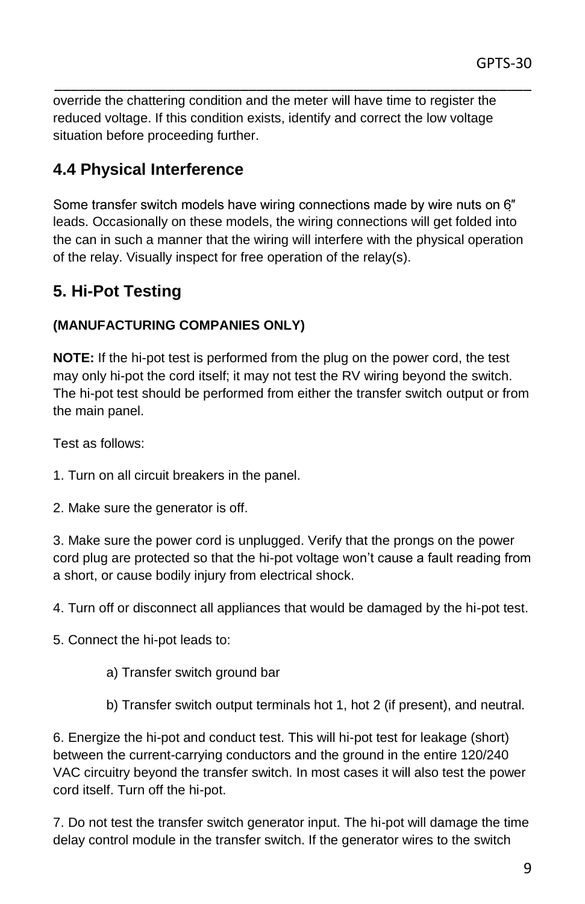override the chattering condition and the meter will have time to register the reduced voltage. If this condition exists, identify and correct the low voltage situation before proceeding further.

\_\_\_\_\_\_\_\_\_\_\_\_\_\_\_\_\_\_\_\_\_\_\_\_\_\_\_\_\_\_\_\_\_\_\_\_\_\_\_\_\_\_\_\_\_\_\_\_\_\_\_\_\_\_\_\_\_\_\_

### **4.4 Physical Interference**

Some transfer switch models have wiring connections made by wire nuts on 6" leads. Occasionally on these models, the wiring connections will get folded into the can in such a manner that the wiring will interfere with the physical operation of the relay. Visually inspect for free operation of the relay(s).

### **5. Hi-Pot Testing**

#### **(MANUFACTURING COMPANIES ONLY)**

**NOTE:** If the hi-pot test is performed from the plug on the power cord, the test may only hi-pot the cord itself; it may not test the RV wiring beyond the switch. The hi-pot test should be performed from either the transfer switch output or from the main panel.

Test as follows:

- 1. Turn on all circuit breakers in the panel.
- 2. Make sure the generator is off.

3. Make sure the power cord is unplugged. Verify that the prongs on the power cord plug are protected so that the hi-pot voltage won't cause a fault reading from a short, or cause bodily injury from electrical shock.

4. Turn off or disconnect all appliances that would be damaged by the hi-pot test.

5. Connect the hi-pot leads to:

- a) Transfer switch ground bar
- b) Transfer switch output terminals hot 1, hot 2 (if present), and neutral.

6. Energize the hi-pot and conduct test. This will hi-pot test for leakage (short) between the current-carrying conductors and the ground in the entire 120/240 VAC circuitry beyond the transfer switch. In most cases it will also test the power cord itself. Turn off the hi-pot.

7. Do not test the transfer switch generator input. The hi-pot will damage the time delay control module in the transfer switch. If the generator wires to the switch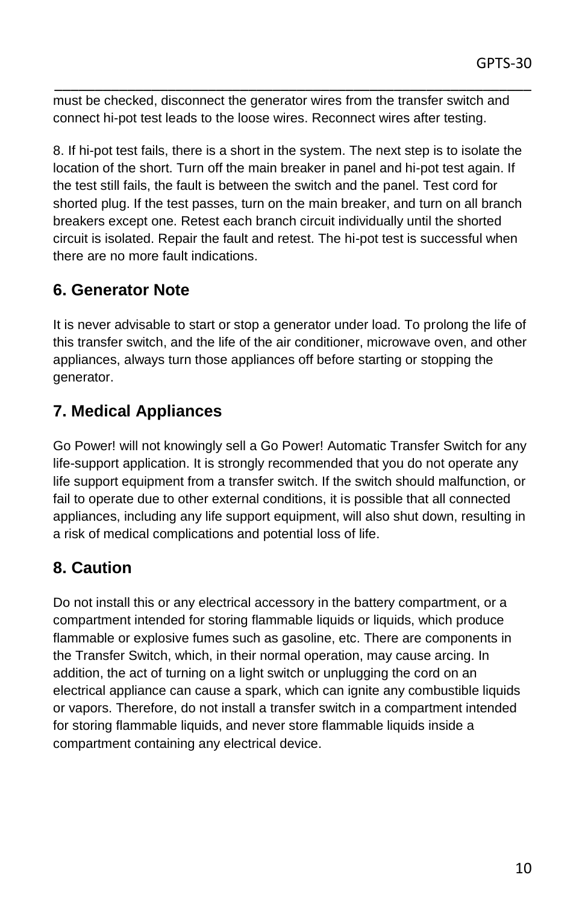must be checked, disconnect the generator wires from the transfer switch and connect hi-pot test leads to the loose wires. Reconnect wires after testing.

\_\_\_\_\_\_\_\_\_\_\_\_\_\_\_\_\_\_\_\_\_\_\_\_\_\_\_\_\_\_\_\_\_\_\_\_\_\_\_\_\_\_\_\_\_\_\_\_\_\_\_\_\_\_\_\_\_\_\_

8. If hi-pot test fails, there is a short in the system. The next step is to isolate the location of the short. Turn off the main breaker in panel and hi-pot test again. If the test still fails, the fault is between the switch and the panel. Test cord for shorted plug. If the test passes, turn on the main breaker, and turn on all branch breakers except one. Retest each branch circuit individually until the shorted circuit is isolated. Repair the fault and retest. The hi-pot test is successful when there are no more fault indications.

### **6. Generator Note**

It is never advisable to start or stop a generator under load. To prolong the life of this transfer switch, and the life of the air conditioner, microwave oven, and other appliances, always turn those appliances off before starting or stopping the generator.

# **7. Medical Appliances**

Go Power! will not knowingly sell a Go Power! Automatic Transfer Switch for any life-support application. It is strongly recommended that you do not operate any life support equipment from a transfer switch. If the switch should malfunction, or fail to operate due to other external conditions, it is possible that all connected appliances, including any life support equipment, will also shut down, resulting in a risk of medical complications and potential loss of life.

### **8. Caution**

Do not install this or any electrical accessory in the battery compartment, or a compartment intended for storing flammable liquids or liquids, which produce flammable or explosive fumes such as gasoline, etc. There are components in the Transfer Switch, which, in their normal operation, may cause arcing. In addition, the act of turning on a light switch or unplugging the cord on an electrical appliance can cause a spark, which can ignite any combustible liquids or vapors. Therefore, do not install a transfer switch in a compartment intended for storing flammable liquids, and never store flammable liquids inside a compartment containing any electrical device.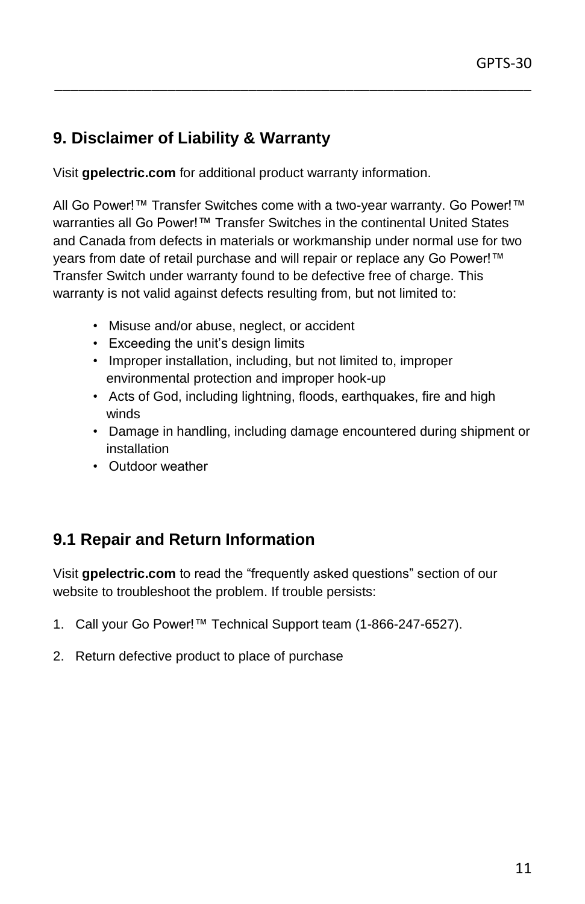### **9. Disclaimer of Liability & Warranty**

Visit **gpelectric.com** for additional product warranty information.

All Go Power!™ Transfer Switches come with a two-year warranty. Go Power!™ warranties all Go Power!™ Transfer Switches in the continental United States and Canada from defects in materials or workmanship under normal use for two years from date of retail purchase and will repair or replace any Go Power!™ Transfer Switch under warranty found to be defective free of charge. This warranty is not valid against defects resulting from, but not limited to:

\_\_\_\_\_\_\_\_\_\_\_\_\_\_\_\_\_\_\_\_\_\_\_\_\_\_\_\_\_\_\_\_\_\_\_\_\_\_\_\_\_\_\_\_\_\_\_\_\_\_\_\_\_\_\_\_\_\_\_

- Misuse and/or abuse, neglect, or accident
- Exceeding the unit's design limits
- Improper installation, including, but not limited to, improper environmental protection and improper hook-up
- Acts of God, including lightning, floods, earthquakes, fire and high winds
- Damage in handling, including damage encountered during shipment or installation
- Outdoor weather

### **9.1 Repair and Return Information**

Visit **gpelectric.com** to read the "frequently asked questions" section of our website to troubleshoot the problem. If trouble persists:

- 1. Call your Go Power!™ Technical Support team (1-866-247-6527).
- 2. Return defective product to place of purchase